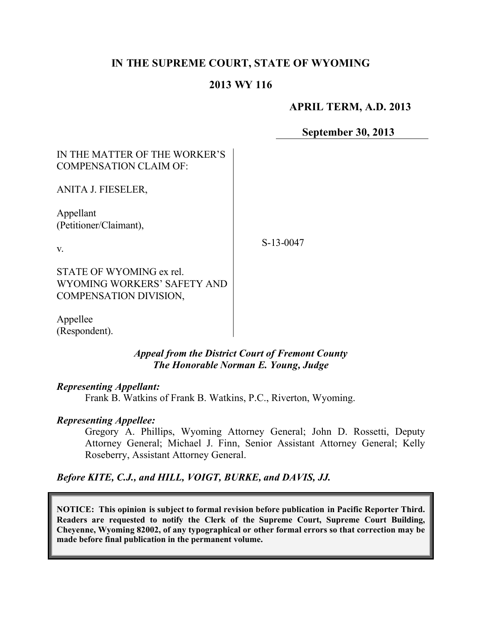# **IN THE SUPREME COURT, STATE OF WYOMING**

## **2013 WY 116**

## **APRIL TERM, A.D. 2013**

**September 30, 2013**

# IN THE MATTER OF THE WORKER'S COMPENSATION CLAIM OF:

ANITA J. FIESELER,

Appellant (Petitioner/Claimant),

v.

S-13-0047

STATE OF WYOMING ex rel. WYOMING WORKERS' SAFETY AND COMPENSATION DIVISION,

Appellee (Respondent).

#### *Appeal from the District Court of Fremont County The Honorable Norman E. Young, Judge*

## *Representing Appellant:*

Frank B. Watkins of Frank B. Watkins, P.C., Riverton, Wyoming.

## *Representing Appellee:*

Gregory A. Phillips, Wyoming Attorney General; John D. Rossetti, Deputy Attorney General; Michael J. Finn, Senior Assistant Attorney General; Kelly Roseberry, Assistant Attorney General.

*Before KITE, C.J., and HILL, VOIGT, BURKE, and DAVIS, JJ.*

**NOTICE: This opinion is subject to formal revision before publication in Pacific Reporter Third. Readers are requested to notify the Clerk of the Supreme Court, Supreme Court Building, Cheyenne, Wyoming 82002, of any typographical or other formal errors so that correction may be made before final publication in the permanent volume.**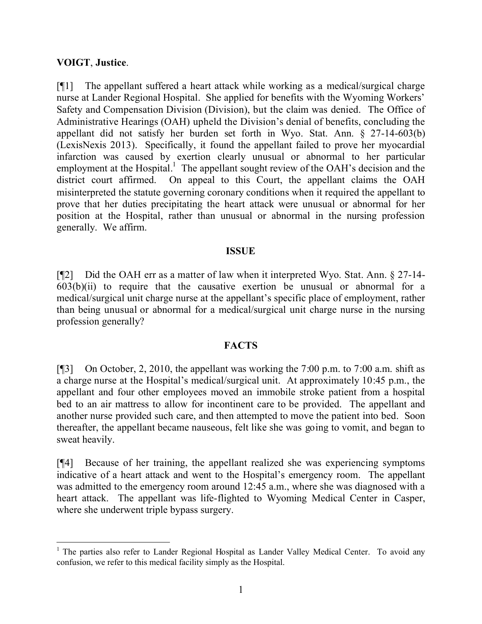## **VOIGT**, **Justice**.

 $\overline{a}$ 

[¶1] The appellant suffered a heart attack while working as a medical/surgical charge nurse at Lander Regional Hospital. She applied for benefits with the Wyoming Workers' Safety and Compensation Division (Division), but the claim was denied. The Office of Administrative Hearings (OAH) upheld the Division's denial of benefits, concluding the appellant did not satisfy her burden set forth in Wyo. Stat. Ann. § 27-14-603(b) (LexisNexis 2013). Specifically, it found the appellant failed to prove her myocardial infarction was caused by exertion clearly unusual or abnormal to her particular employment at the Hospital.<sup>1</sup> The appellant sought review of the OAH's decision and the district court affirmed. On appeal to this Court, the appellant claims the OAH misinterpreted the statute governing coronary conditions when it required the appellant to prove that her duties precipitating the heart attack were unusual or abnormal for her position at the Hospital, rather than unusual or abnormal in the nursing profession generally. We affirm.

## **ISSUE**

[¶2] Did the OAH err as a matter of law when it interpreted Wyo. Stat. Ann. § 27-14-  $603(b)(ii)$  to require that the causative exertion be unusual or abnormal for a medical/surgical unit charge nurse at the appellant's specific place of employment, rather than being unusual or abnormal for a medical/surgical unit charge nurse in the nursing profession generally?

## **FACTS**

[¶3] On October, 2, 2010, the appellant was working the 7:00 p.m. to 7:00 a.m. shift as a charge nurse at the Hospital's medical/surgical unit. At approximately 10:45 p.m., the appellant and four other employees moved an immobile stroke patient from a hospital bed to an air mattress to allow for incontinent care to be provided. The appellant and another nurse provided such care, and then attempted to move the patient into bed. Soon thereafter, the appellant became nauseous, felt like she was going to vomit, and began to sweat heavily.

[¶4] Because of her training, the appellant realized she was experiencing symptoms indicative of a heart attack and went to the Hospital's emergency room. The appellant was admitted to the emergency room around 12:45 a.m., where she was diagnosed with a heart attack. The appellant was life-flighted to Wyoming Medical Center in Casper, where she underwent triple bypass surgery.

 $1$  The parties also refer to Lander Regional Hospital as Lander Valley Medical Center. To avoid any confusion, we refer to this medical facility simply as the Hospital.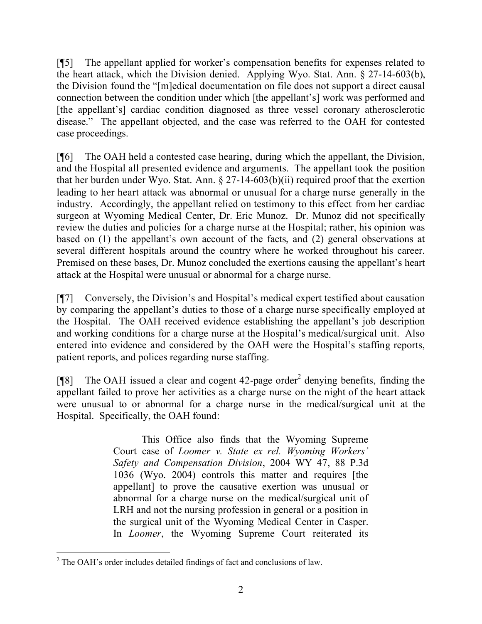[¶5] The appellant applied for worker's compensation benefits for expenses related to the heart attack, which the Division denied. Applying Wyo. Stat. Ann. § 27-14-603(b), the Division found the "[m]edical documentation on file does not support a direct causal connection between the condition under which [the appellant's] work was performed and [the appellant's] cardiac condition diagnosed as three vessel coronary atherosclerotic disease." The appellant objected, and the case was referred to the OAH for contested case proceedings.

[¶6] The OAH held a contested case hearing, during which the appellant, the Division, and the Hospital all presented evidence and arguments. The appellant took the position that her burden under Wyo. Stat. Ann. § 27-14-603(b)(ii) required proof that the exertion leading to her heart attack was abnormal or unusual for a charge nurse generally in the industry. Accordingly, the appellant relied on testimony to this effect from her cardiac surgeon at Wyoming Medical Center, Dr. Eric Munoz. Dr. Munoz did not specifically review the duties and policies for a charge nurse at the Hospital; rather, his opinion was based on (1) the appellant's own account of the facts, and (2) general observations at several different hospitals around the country where he worked throughout his career. Premised on these bases, Dr. Munoz concluded the exertions causing the appellant's heart attack at the Hospital were unusual or abnormal for a charge nurse.

[¶7] Conversely, the Division's and Hospital's medical expert testified about causation by comparing the appellant's duties to those of a charge nurse specifically employed at the Hospital. The OAH received evidence establishing the appellant's job description and working conditions for a charge nurse at the Hospital's medical/surgical unit. Also entered into evidence and considered by the OAH were the Hospital's staffing reports, patient reports, and polices regarding nurse staffing.

[ $[$ [8] The OAH issued a clear and cogent 42-page order<sup>2</sup> denying benefits, finding the appellant failed to prove her activities as a charge nurse on the night of the heart attack were unusual to or abnormal for a charge nurse in the medical/surgical unit at the Hospital. Specifically, the OAH found:

> This Office also finds that the Wyoming Supreme Court case of *Loomer v. State ex rel. Wyoming Workers' Safety and Compensation Division*, 2004 WY 47, 88 P.3d 1036 (Wyo. 2004) controls this matter and requires [the appellant] to prove the causative exertion was unusual or abnormal for a charge nurse on the medical/surgical unit of LRH and not the nursing profession in general or a position in the surgical unit of the Wyoming Medical Center in Casper. In *Loomer*, the Wyoming Supreme Court reiterated its

 <sup>2</sup> The OAH's order includes detailed findings of fact and conclusions of law.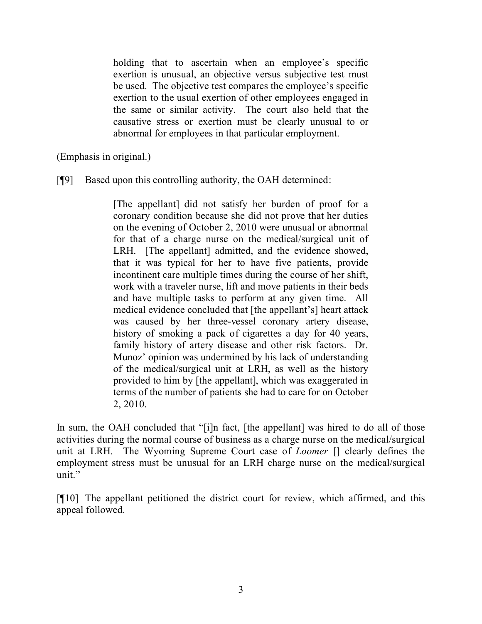holding that to ascertain when an employee's specific exertion is unusual, an objective versus subjective test must be used. The objective test compares the employee's specific exertion to the usual exertion of other employees engaged in the same or similar activity. The court also held that the causative stress or exertion must be clearly unusual to or abnormal for employees in that particular employment.

(Emphasis in original.)

[¶9] Based upon this controlling authority, the OAH determined:

[The appellant] did not satisfy her burden of proof for a coronary condition because she did not prove that her duties on the evening of October 2, 2010 were unusual or abnormal for that of a charge nurse on the medical/surgical unit of LRH. [The appellant] admitted, and the evidence showed, that it was typical for her to have five patients, provide incontinent care multiple times during the course of her shift, work with a traveler nurse, lift and move patients in their beds and have multiple tasks to perform at any given time. All medical evidence concluded that [the appellant's] heart attack was caused by her three-vessel coronary artery disease, history of smoking a pack of cigarettes a day for 40 years, family history of artery disease and other risk factors. Dr. Munoz' opinion was undermined by his lack of understanding of the medical/surgical unit at LRH, as well as the history provided to him by [the appellant], which was exaggerated in terms of the number of patients she had to care for on October 2, 2010.

In sum, the OAH concluded that "[i]n fact, [the appellant] was hired to do all of those activities during the normal course of business as a charge nurse on the medical/surgical unit at LRH. The Wyoming Supreme Court case of *Loomer* [] clearly defines the employment stress must be unusual for an LRH charge nurse on the medical/surgical unit."

[¶10] The appellant petitioned the district court for review, which affirmed, and this appeal followed.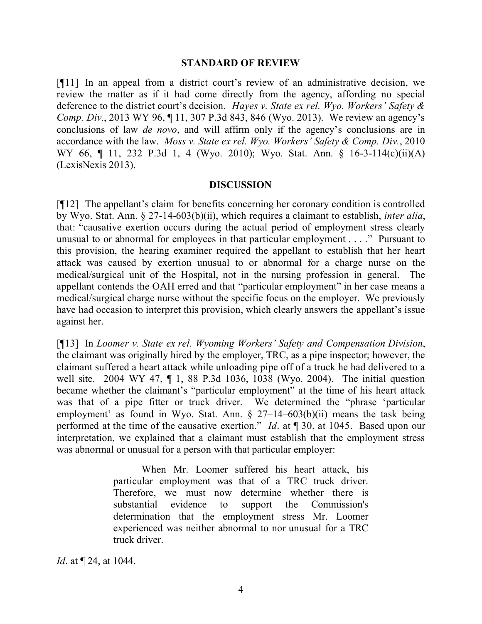#### **STANDARD OF REVIEW**

[¶11] In an appeal from a district court's review of an administrative decision, we review the matter as if it had come directly from the agency, affording no special deference to the district court's decision. *Hayes v. State ex rel. Wyo. Workers' Safety & Comp. Div.*, 2013 WY 96, ¶ 11, 307 P.3d 843, 846 (Wyo. 2013). We review an agency's conclusions of law *de novo*, and will affirm only if the agency's conclusions are in accordance with the law. *Moss v. State ex rel. Wyo. Workers' Safety & Comp. Div.*, 2010 WY 66, 11, 232 P.3d 1, 4 (Wyo. 2010); Wyo. Stat. Ann. § 16-3-114(c)(ii)(A) (LexisNexis 2013).

#### **DISCUSSION**

[¶12] The appellant's claim for benefits concerning her coronary condition is controlled by Wyo. Stat. Ann. § 27-14-603(b)(ii), which requires a claimant to establish, *inter alia*, that: "causative exertion occurs during the actual period of employment stress clearly unusual to or abnormal for employees in that particular employment . . . ." Pursuant to this provision, the hearing examiner required the appellant to establish that her heart attack was caused by exertion unusual to or abnormal for a charge nurse on the medical/surgical unit of the Hospital, not in the nursing profession in general. The appellant contends the OAH erred and that "particular employment" in her case means a medical/surgical charge nurse without the specific focus on the employer. We previously have had occasion to interpret this provision, which clearly answers the appellant's issue against her.

[¶13] In *Loomer v. State ex rel. Wyoming Workers' Safety and Compensation Division*, the claimant was originally hired by the employer, TRC, as a pipe inspector; however, the claimant suffered a heart attack while unloading pipe off of a truck he had delivered to a well site. 2004 WY 47, ¶ 1, 88 P.3d 1036, 1038 (Wyo. 2004). The initial question became whether the claimant's "particular employment" at the time of his heart attack was that of a pipe fitter or truck driver. We determined the "phrase 'particular employment' as found in Wyo. Stat. Ann.  $\S$  27–14–603(b)(ii) means the task being performed at the time of the causative exertion." *Id*. at  $\sqrt{90}$ , at 1045. Based upon our interpretation, we explained that a claimant must establish that the employment stress was abnormal or unusual for a person with that particular employer:

> When Mr. Loomer suffered his heart attack, his particular employment was that of a TRC truck driver. Therefore, we must now determine whether there is substantial evidence to support the Commission's determination that the employment stress Mr. Loomer experienced was neither abnormal to nor unusual for a TRC truck driver.

*Id*. at ¶ 24, at 1044.